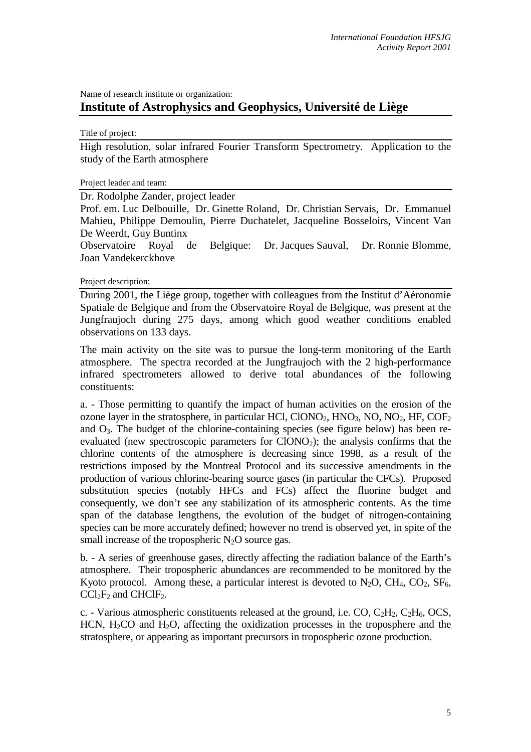## Name of research institute or organization: **Institute of Astrophysics and Geophysics, Université de Liège**

Title of project:

High resolution, solar infrared Fourier Transform Spectrometry. Application to the study of the Earth atmosphere

Project leader and team:

Dr. Rodolphe Zander, project leader

Prof. em. Luc Delbouille, Dr. Ginette Roland, Dr. Christian Servais, Dr. Emmanuel Mahieu, Philippe Demoulin, Pierre Duchatelet, Jacqueline Bosseloirs, Vincent Van De Weerdt, Guy Buntinx

Observatoire Royal de Belgique: Dr. Jacques Sauval, Dr. Ronnie Blomme, Joan Vandekerckhove

Project description:

During 2001, the Liège group, together with colleagues from the Institut d'Aéronomie Spatiale de Belgique and from the Observatoire Royal de Belgique, was present at the Jungfraujoch during 275 days, among which good weather conditions enabled observations on 133 days.

The main activity on the site was to pursue the long-term monitoring of the Earth atmosphere. The spectra recorded at the Jungfraujoch with the 2 high-performance infrared spectrometers allowed to derive total abundances of the following constituents:

a. - Those permitting to quantify the impact of human activities on the erosion of the ozone layer in the stratosphere, in particular HCl, ClONO<sub>2</sub>, HNO<sub>3</sub>, NO, NO<sub>2</sub>, HF, COF<sub>2</sub> and  $O_3$ . The budget of the chlorine-containing species (see figure below) has been reevaluated (new spectroscopic parameters for  $CIONO<sub>2</sub>$ ); the analysis confirms that the chlorine contents of the atmosphere is decreasing since 1998, as a result of the restrictions imposed by the Montreal Protocol and its successive amendments in the production of various chlorine-bearing source gases (in particular the CFCs). Proposed substitution species (notably HFCs and FCs) affect the fluorine budget and consequently, we don't see any stabilization of its atmospheric contents. As the time span of the database lengthens, the evolution of the budget of nitrogen-containing species can be more accurately defined; however no trend is observed yet, in spite of the small increase of the tropospheric  $N_2O$  source gas.

b. - A series of greenhouse gases, directly affecting the radiation balance of the Earth's atmosphere. Their tropospheric abundances are recommended to be monitored by the Kyoto protocol. Among these, a particular interest is devoted to  $N_2O$ ,  $CH_4$ ,  $CO_2$ ,  $SF_6$ ,  $CCl_2F_2$  and  $CHClF_2$ .

c. - Various atmospheric constituents released at the ground, i.e. CO,  $C_2H_2$ ,  $C_2H_6$ , OCS, HCN,  $H<sub>2</sub>CO$  and  $H<sub>2</sub>O$ , affecting the oxidization processes in the troposphere and the stratosphere, or appearing as important precursors in tropospheric ozone production.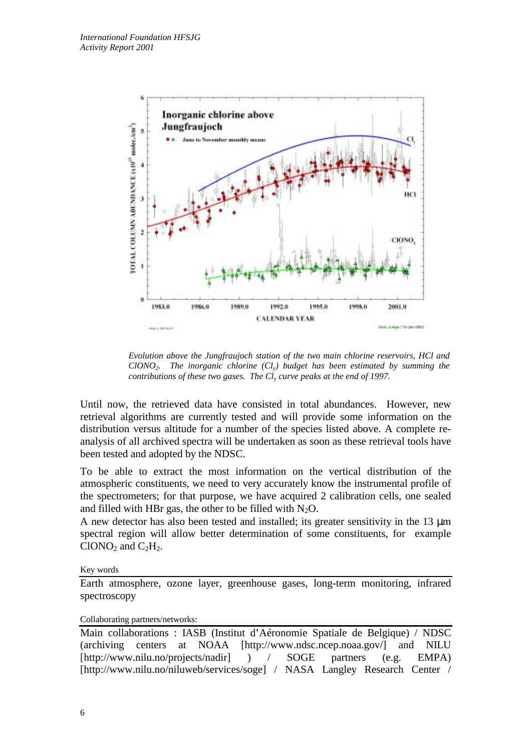

*Evolution above the Jungfraujoch station of the two main chlorine reservoirs, HCl and ClONO2. The inorganic chlorine (Cly) budget has been estimated by summing the contributions of these two gases. The Cly curve peaks at the end of 1997.*

Until now, the retrieved data have consisted in total abundances. However, new retrieval algorithms are currently tested and will provide some information on the distribution versus altitude for a number of the species listed above. A complete reanalysis of all archived spectra will be undertaken as soon as these retrieval tools have been tested and adopted by the NDSC.

To be able to extract the most information on the vertical distribution of the atmospheric constituents, we need to very accurately know the instrumental profile of the spectrometers; for that purpose, we have acquired 2 calibration cells, one sealed and filled with HBr gas, the other to be filled with  $N_2O$ .

A new detector has also been tested and installed; its greater sensitivity in the 13 µm spectral region will allow better determination of some constituents, for example  $C1ONO<sub>2</sub>$  and  $C<sub>2</sub>H<sub>2</sub>$ .

Key words

Earth atmosphere, ozone layer, greenhouse gases, long-term monitoring, infrared spectroscopy

## Collaborating partners/networks:

Main collaborations : IASB (Institut d'Aéronomie Spatiale de Belgique) / NDSC (archiving centers at NOAA [http://www.ndsc.ncep.noaa.gov/] and NILU [http://www.nilu.no/projects/nadir] ) / SOGE partners (e.g. EMPA) [http://www.nilu.no/niluweb/services/soge] / NASA Langley Research Center /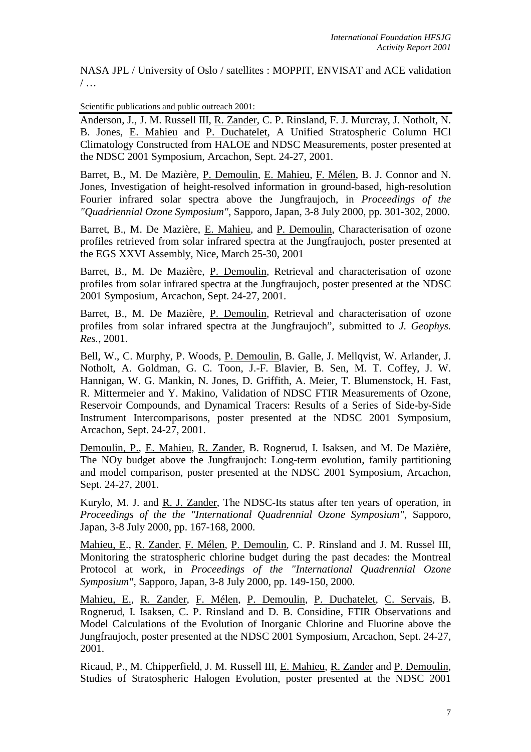NASA JPL / University of Oslo / satellites : MOPPIT, ENVISAT and ACE validation / …

Scientific publications and public outreach 2001:

Anderson, J., J. M. Russell III, R. Zander, C. P. Rinsland, F. J. Murcray, J. Notholt, N. B. Jones, E. Mahieu and P. Duchatelet, A Unified Stratospheric Column HCl Climatology Constructed from HALOE and NDSC Measurements, poster presented at the NDSC 2001 Symposium, Arcachon, Sept. 24-27, 2001.

Barret, B., M. De Mazière, P. Demoulin, E. Mahieu, F. Mélen, B. J. Connor and N. Jones, Investigation of height-resolved information in ground-based, high-resolution Fourier infrared solar spectra above the Jungfraujoch, in *Proceedings of the "Quadriennial Ozone Symposium"*, Sapporo, Japan, 3-8 July 2000, pp. 301-302, 2000.

Barret, B., M. De Mazière, E. Mahieu, and P. Demoulin, Characterisation of ozone profiles retrieved from solar infrared spectra at the Jungfraujoch, poster presented at the EGS XXVI Assembly, Nice, March 25-30, 2001

Barret, B., M. De Mazière, P. Demoulin, Retrieval and characterisation of ozone profiles from solar infrared spectra at the Jungfraujoch, poster presented at the NDSC 2001 Symposium, Arcachon, Sept. 24-27, 2001.

Barret, B., M. De Mazière, P. Demoulin, Retrieval and characterisation of ozone profiles from solar infrared spectra at the Jungfraujoch", submitted to *J. Geophys. Res.*, 2001.

Bell, W., C. Murphy, P. Woods, P. Demoulin, B. Galle, J. Mellqvist, W. Arlander, J. Notholt, A. Goldman, G. C. Toon, J.-F. Blavier, B. Sen, M. T. Coffey, J. W. Hannigan, W. G. Mankin, N. Jones, D. Griffith, A. Meier, T. Blumenstock, H. Fast, R. Mittermeier and Y. Makino, Validation of NDSC FTIR Measurements of Ozone, Reservoir Compounds, and Dynamical Tracers: Results of a Series of Side-by-Side Instrument Intercomparisons, poster presented at the NDSC 2001 Symposium, Arcachon, Sept. 24-27, 2001.

Demoulin, P., E. Mahieu, R. Zander, B. Rognerud, I. Isaksen, and M. De Mazière, The NOy budget above the Jungfraujoch: Long-term evolution, family partitioning and model comparison, poster presented at the NDSC 2001 Symposium, Arcachon, Sept. 24-27, 2001.

Kurylo, M. J. and R. J. Zander, The NDSC-Its status after ten years of operation, in *Proceedings of the the "International Quadrennial Ozone Symposium"*, Sapporo, Japan, 3-8 July 2000, pp. 167-168, 2000.

Mahieu, E., R. Zander, F. Mélen, P. Demoulin, C. P. Rinsland and J. M. Russel III, Monitoring the stratospheric chlorine budget during the past decades: the Montreal Protocol at work, in *Proceedings of the "International Quadrennial Ozone Symposium"*, Sapporo, Japan, 3-8 July 2000, pp. 149-150, 2000.

Mahieu, E., R. Zander, F. Mélen, P. Demoulin, P. Duchatelet, C. Servais, B. Rognerud, I. Isaksen, C. P. Rinsland and D. B. Considine, FTIR Observations and Model Calculations of the Evolution of Inorganic Chlorine and Fluorine above the Jungfraujoch, poster presented at the NDSC 2001 Symposium, Arcachon, Sept. 24-27, 2001.

Ricaud, P., M. Chipperfield, J. M. Russell III, E. Mahieu, R. Zander and P. Demoulin, Studies of Stratospheric Halogen Evolution, poster presented at the NDSC 2001